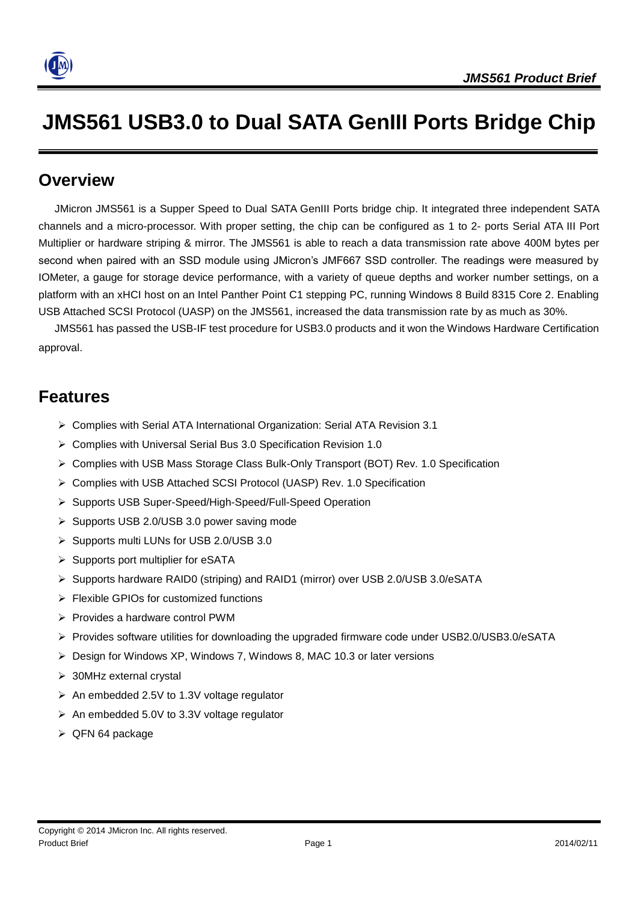

# **JMS561 USB3.0 to Dual SATA GenIII Ports Bridge Chip**

#### **Overview**

JMicron JMS561 is a Supper Speed to Dual SATA GenIII Ports bridge chip. It integrated three independent SATA channels and a micro-processor. With proper setting, the chip can be configured as 1 to 2- ports Serial ATA III Port Multiplier or hardware striping & mirror. The JMS561 is able to reach a data transmission rate above 400M bytes per second when paired with an SSD module using JMicron's JMF667 SSD controller. The readings were measured by IOMeter, a gauge for storage device performance, with a variety of queue depths and worker number settings, on a platform with an xHCI host on an Intel Panther Point C1 stepping PC, running Windows 8 Build 8315 Core 2. Enabling USB Attached SCSI Protocol (UASP) on the JMS561, increased the data transmission rate by as much as 30%.

JMS561 has passed the USB-IF test procedure for USB3.0 products and it won the Windows Hardware Certification approval.

### **Features**

- Complies with Serial ATA International Organization: Serial ATA Revision 3.1
- Complies with Universal Serial Bus 3.0 Specification Revision 1.0
- ▶ Complies with USB Mass Storage Class Bulk-Only Transport (BOT) Rev. 1.0 Specification
- Complies with USB Attached SCSI Protocol (UASP) Rev. 1.0 Specification
- Supports USB Super-Speed/High-Speed/Full-Speed Operation
- $\triangleright$  Supports USB 2.0/USB 3.0 power saving mode
- ▶ Supports multi LUNs for USB 2.0/USB 3.0
- $\triangleright$  Supports port multiplier for eSATA
- Supports hardware RAID0 (striping) and RAID1 (mirror) over USB 2.0/USB 3.0/eSATA
- Flexible GPIOs for customized functions
- $\triangleright$  Provides a hardware control PWM
- Provides software utilities for downloading the upgraded firmware code under USB2.0/USB3.0/eSATA
- $\triangleright$  Design for Windows XP, Windows 7, Windows 8, MAC 10.3 or later versions
- > 30MHz external crystal
- An embedded 2.5V to 1.3V voltage regulator
- $\triangleright$  An embedded 5.0V to 3.3V voltage regulator
- $\triangleright$  QFN 64 package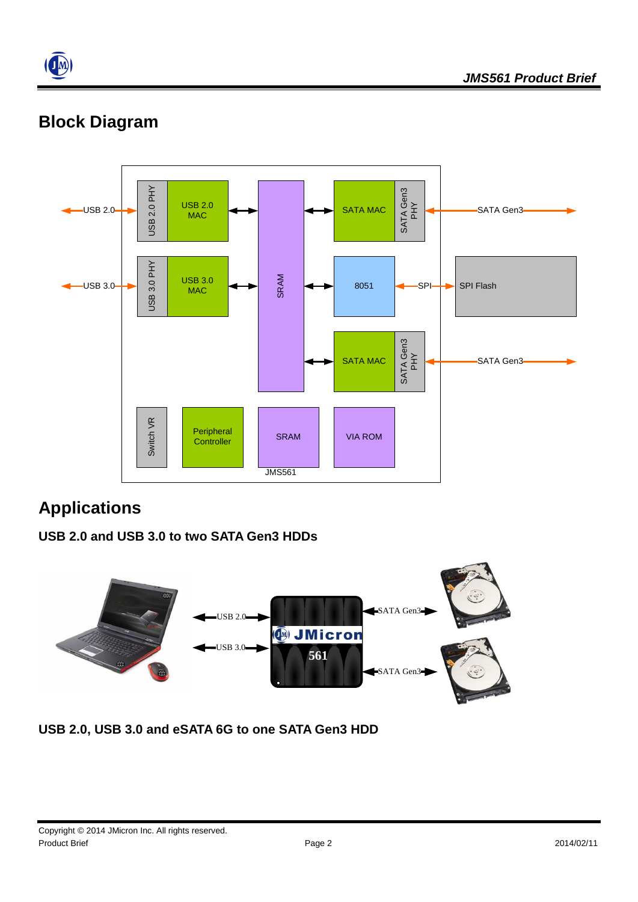

## **Block Diagram**



## **Applications**

#### **USB 2.0 and USB 3.0 to two SATA Gen3 HDDs**



**USB 2.0, USB 3.0 and eSATA 6G to one SATA Gen3 HDD**